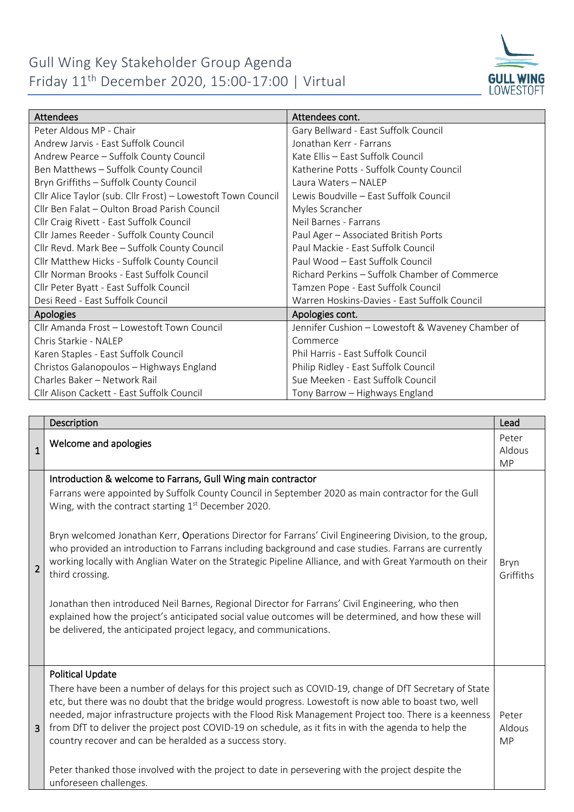## Gull Wing Key Stakeholder Group Agenda Friday 11th December 2020, 15:00-17:00 | Virtual



| <b>Attendees</b>                                             | Attendees cont.                                   |
|--------------------------------------------------------------|---------------------------------------------------|
| Peter Aldous MP - Chair                                      | Gary Bellward - East Suffolk Council              |
| Andrew Jarvis - East Suffolk Council                         | Jonathan Kerr - Farrans                           |
| Andrew Pearce - Suffolk County Council                       | Kate Ellis - East Suffolk Council                 |
| Ben Matthews - Suffolk County Council                        | Katherine Potts - Suffolk County Council          |
| Bryn Griffiths - Suffolk County Council                      | Laura Waters - NALEP                              |
| Cllr Alice Taylor (sub. Cllr Frost) - Lowestoft Town Council | Lewis Boudville - East Suffolk Council            |
| Cllr Ben Falat - Oulton Broad Parish Council                 | Myles Scrancher                                   |
| Cllr Craig Rivett - East Suffolk Council                     | Neil Barnes - Farrans                             |
| Cllr James Reeder - Suffolk County Council                   | Paul Ager - Associated British Ports              |
| Cllr Revd. Mark Bee - Suffolk County Council                 | Paul Mackie - East Suffolk Council                |
| Cllr Matthew Hicks - Suffolk County Council                  | Paul Wood - East Suffolk Council                  |
| Cllr Norman Brooks - East Suffolk Council                    | Richard Perkins - Suffolk Chamber of Commerce     |
| Cllr Peter Byatt - East Suffolk Council                      | Tamzen Pope - East Suffolk Council                |
| Desi Reed - East Suffolk Council                             | Warren Hoskins-Davies - East Suffolk Council      |
| <b>Apologies</b>                                             | Apologies cont.                                   |
| Cllr Amanda Frost - Lowestoft Town Council                   | Jennifer Cushion - Lowestoft & Waveney Chamber of |
| Chris Starkie - NALEP                                        | Commerce                                          |
| Karen Staples - East Suffolk Council                         | Phil Harris - East Suffolk Council                |
| Christos Galanopoulos - Highways England                     | Philip Ridley - East Suffolk Council              |
| Charles Baker - Network Rail                                 | Sue Meeken - East Suffolk Council                 |
| Cllr Alison Cackett - East Suffolk Council                   | Tony Barrow - Highways England                    |

|                | Description                                                                                                                                                                                                                                                                                                                                                                                                                                                                                                                                                                                                                                                                                                                                                                                                                                                   | Lead                         |
|----------------|---------------------------------------------------------------------------------------------------------------------------------------------------------------------------------------------------------------------------------------------------------------------------------------------------------------------------------------------------------------------------------------------------------------------------------------------------------------------------------------------------------------------------------------------------------------------------------------------------------------------------------------------------------------------------------------------------------------------------------------------------------------------------------------------------------------------------------------------------------------|------------------------------|
| $\mathbf{1}$   | Welcome and apologies                                                                                                                                                                                                                                                                                                                                                                                                                                                                                                                                                                                                                                                                                                                                                                                                                                         | Peter<br>Aldous<br><b>MP</b> |
| $\overline{2}$ | Introduction & welcome to Farrans, Gull Wing main contractor<br>Farrans were appointed by Suffolk County Council in September 2020 as main contractor for the Gull<br>Wing, with the contract starting $1st$ December 2020.<br>Bryn welcomed Jonathan Kerr, Operations Director for Farrans' Civil Engineering Division, to the group,<br>who provided an introduction to Farrans including background and case studies. Farrans are currently<br>working locally with Anglian Water on the Strategic Pipeline Alliance, and with Great Yarmouth on their<br>third crossing.<br>Jonathan then introduced Neil Barnes, Regional Director for Farrans' Civil Engineering, who then<br>explained how the project's anticipated social value outcomes will be determined, and how these will<br>be delivered, the anticipated project legacy, and communications. | Bryn<br>Griffiths            |
| 3              | <b>Political Update</b><br>There have been a number of delays for this project such as COVID-19, change of DfT Secretary of State<br>etc, but there was no doubt that the bridge would progress. Lowestoft is now able to boast two, well<br>needed, major infrastructure projects with the Flood Risk Management Project too. There is a keenness<br>from DfT to deliver the project post COVID-19 on schedule, as it fits in with the agenda to help the<br>country recover and can be heralded as a success story.<br>Peter thanked those involved with the project to date in persevering with the project despite the<br>unforeseen challenges.                                                                                                                                                                                                          | Peter<br>Aldous<br><b>MP</b> |